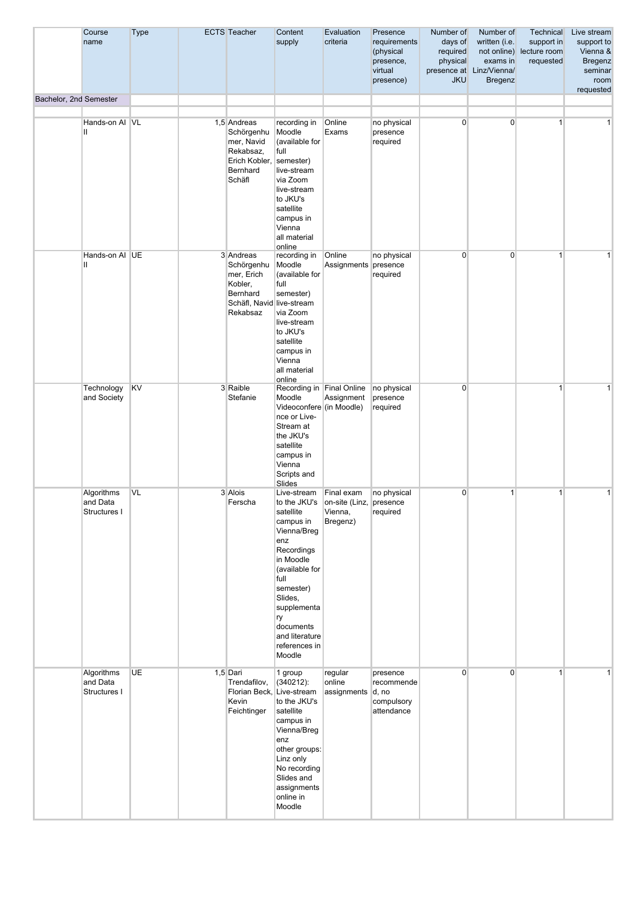|                        | Course<br>name                         | <b>Type</b> | <b>ECTS</b> Teacher                                                                                   | Content<br>supply                                                                                                                                                                                                                       | Evaluation<br>criteria                                       | Presence<br>requirements<br>(physical<br>presence,<br>virtual<br>presence) | Number of<br>days of<br>required<br>physical<br><b>JKU</b> | Number of<br>written (i.e.<br>exams in<br>presence at Linz/Vienna/<br><b>Bregenz</b> | Technical<br>support in<br>not online) lecture room<br>requested | Live stream<br>support to<br>Vienna &<br><b>Bregenz</b><br>seminar<br>room<br>requested |
|------------------------|----------------------------------------|-------------|-------------------------------------------------------------------------------------------------------|-----------------------------------------------------------------------------------------------------------------------------------------------------------------------------------------------------------------------------------------|--------------------------------------------------------------|----------------------------------------------------------------------------|------------------------------------------------------------|--------------------------------------------------------------------------------------|------------------------------------------------------------------|-----------------------------------------------------------------------------------------|
| Bachelor, 2nd Semester |                                        |             |                                                                                                       |                                                                                                                                                                                                                                         |                                                              |                                                                            |                                                            |                                                                                      |                                                                  |                                                                                         |
|                        | Hands-on Al VL<br>Ш                    |             | 1,5 Andreas<br>Schörgenhu<br>mer, Navid<br>Rekabsaz,<br>Erich Kobler, semester)<br>Bernhard<br>Schäfl | recording in<br>Moodle<br>(available for<br>full<br>live-stream<br>via Zoom<br>live-stream<br>to JKU's<br>satellite<br>campus in<br>Vienna<br>all material<br>online                                                                    | Online<br>Exams                                              | no physical<br>presence<br>required                                        | $\overline{0}$                                             | $\overline{0}$                                                                       | $\mathbf 1$                                                      | $\mathbf{1}$                                                                            |
|                        | Hands-on AI UE<br>Ш                    |             | 3 Andreas<br>Schörgenhu<br>mer, Erich<br>Kobler,<br>Bernhard<br>Schäfl, Navid live-stream<br>Rekabsaz | recording in<br>Moodle<br>(available for<br>full<br>semester)<br>via Zoom<br>live-stream<br>to JKU's<br>satellite<br>campus in<br>Vienna<br>all material<br>online                                                                      | Online<br>Assignments                                        | no physical<br>presence<br>required                                        | $\overline{0}$                                             | $\overline{0}$                                                                       | $\mathbf{1}$                                                     | $\mathbf{1}$                                                                            |
|                        | Technology<br>and Society              | KV          | 3 Raible<br>Stefanie                                                                                  | Recording in Final Online<br>Moodle<br>Videoconfere (in Moodle)<br>nce or Live-<br>Stream at<br>the JKU's<br>satellite<br>campus in<br>Vienna<br>Scripts and<br>Slides                                                                  | Assignment                                                   | no physical<br>presence<br>required                                        | $\overline{0}$                                             |                                                                                      | $\mathbf{1}$                                                     | $\mathbf{1}$                                                                            |
|                        | Algorithms<br>and Data<br>Structures I | <b>VL</b>   | 3 Alois<br>Ferscha                                                                                    | Live-stream<br>to the JKU's<br>satellite<br>campus in<br>Vienna/Breg<br>enz<br>Recordings<br>in Moodle<br>(available for<br>full<br>semester)<br>Slides,<br>supplementa<br>ry<br>documents<br>and literature<br>references in<br>Moodle | Final exam<br>on-site (Linz, presence<br>Vienna,<br>Bregenz) | no physical<br>required                                                    | $\overline{0}$                                             | 1                                                                                    | 1                                                                | 1                                                                                       |
|                        | Algorithms<br>and Data<br>Structures I | <b>UE</b>   | 1,5 Dari<br>Trendafilov,<br>Florian Beck, Live-stream<br>Kevin<br>Feichtinger                         | 1 group<br>$(340212)$ :<br>to the JKU's<br>satellite<br>campus in<br>Vienna/Breg<br>enz<br>other groups:<br>Linz only<br>No recording<br>Slides and<br>assignments<br>online in<br>Moodle                                               | regular<br>online<br>assignments                             | presence<br>recommende<br> d, no<br>compulsory<br>attendance               | $\overline{0}$                                             | $\overline{0}$                                                                       | 1                                                                | $\mathbf{1}$                                                                            |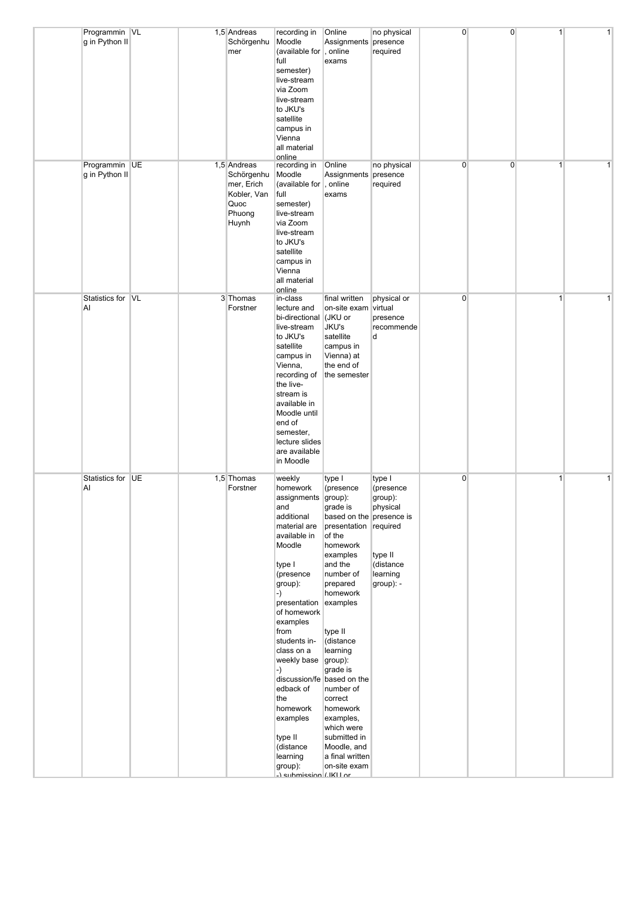| Programmin VL                   |  | 1,5 Andreas                                                                       | recording in                                                                                                                                                                                                                                                                                                                                                                  | Online                                                                                                                                                                                                                                                                                                                                                                                                       | no physical                                                                                 | $\overline{0}$ | $\overline{0}$ | $\mathbf{1}$ | 1 |
|---------------------------------|--|-----------------------------------------------------------------------------------|-------------------------------------------------------------------------------------------------------------------------------------------------------------------------------------------------------------------------------------------------------------------------------------------------------------------------------------------------------------------------------|--------------------------------------------------------------------------------------------------------------------------------------------------------------------------------------------------------------------------------------------------------------------------------------------------------------------------------------------------------------------------------------------------------------|---------------------------------------------------------------------------------------------|----------------|----------------|--------------|---|
| g in Python II                  |  | Schörgenhu<br>mer                                                                 | Moodle<br>(available for , online<br>full<br>semester)<br>live-stream                                                                                                                                                                                                                                                                                                         | Assignments<br>exams                                                                                                                                                                                                                                                                                                                                                                                         | presence<br>required                                                                        |                |                |              |   |
|                                 |  |                                                                                   | via Zoom<br>live-stream<br>to JKU's<br>satellite<br>campus in                                                                                                                                                                                                                                                                                                                 |                                                                                                                                                                                                                                                                                                                                                                                                              |                                                                                             |                |                |              |   |
|                                 |  |                                                                                   | Vienna<br>all material<br>online                                                                                                                                                                                                                                                                                                                                              |                                                                                                                                                                                                                                                                                                                                                                                                              |                                                                                             |                |                |              |   |
| Programmin UE<br>g in Python II |  | 1,5 Andreas<br>Schörgenhu<br>mer, Erich<br>Kobler, Van<br>Quoc<br>Phuong<br>Huynh | recording in<br>Moodle<br>(available for , online<br>full<br>semester)<br>live-stream<br>via Zoom<br>live-stream<br>to JKU's<br>satellite<br>campus in<br>Vienna<br>all material<br>online                                                                                                                                                                                    | Online<br>Assignments<br>exams                                                                                                                                                                                                                                                                                                                                                                               | no physical<br>presence<br>required                                                         | $\overline{0}$ | $\overline{0}$ | $\mathbf{1}$ | 1 |
| Statistics for VL<br>AI         |  | 3 Thomas<br>Forstner                                                              | in-class<br>lecture and<br>bi-directional<br>live-stream<br>to JKU's<br>satellite<br>campus in<br>Vienna,<br>recording of<br>the live-<br>stream is<br>available in<br>Moodle until<br>end of<br>semester,<br>lecture slides<br>are available<br>in Moodle                                                                                                                    | final written<br>on-site exam virtual<br>(JKU or<br>JKU's<br>satellite<br>campus in<br>Vienna) at<br>the end of<br>the semester                                                                                                                                                                                                                                                                              | physical or<br>presence<br>recommende<br>d                                                  | $\overline{0}$ |                | $\mathbf{1}$ | 1 |
| Statistics for UE<br>Al         |  | 1,5 Thomas<br>Forstner                                                            | weekly<br>homework<br>assignments group):<br>and<br>additional<br>material are<br>available in<br>Moodle<br>type I<br>(presence<br>group):<br>-)<br>presentation<br>of homework<br>examples<br>from<br>students in-<br>class on a<br>weekly base<br>-)<br>edback of<br>the<br>homework<br>examples<br>type II<br>(distance<br>learning<br>group):<br>-) submission (.IKI I or | type I<br>(presence<br>grade is<br>based on the presence is<br>presentation required<br>of the<br>homework<br>examples<br>and the<br>number of<br>prepared<br>homework<br>examples<br>type II<br>(distance<br>learning<br>group):<br>grade is<br>discussion/fe based on the<br>number of<br>correct<br>homework<br>examples,<br>which were<br>submitted in<br>Moodle, and<br>a final written<br>on-site exam | type I<br>(presence<br>group):<br>physical<br>type II<br>(distance<br>learning<br>group): - | $\overline{0}$ |                | $\mathbf{1}$ | 1 |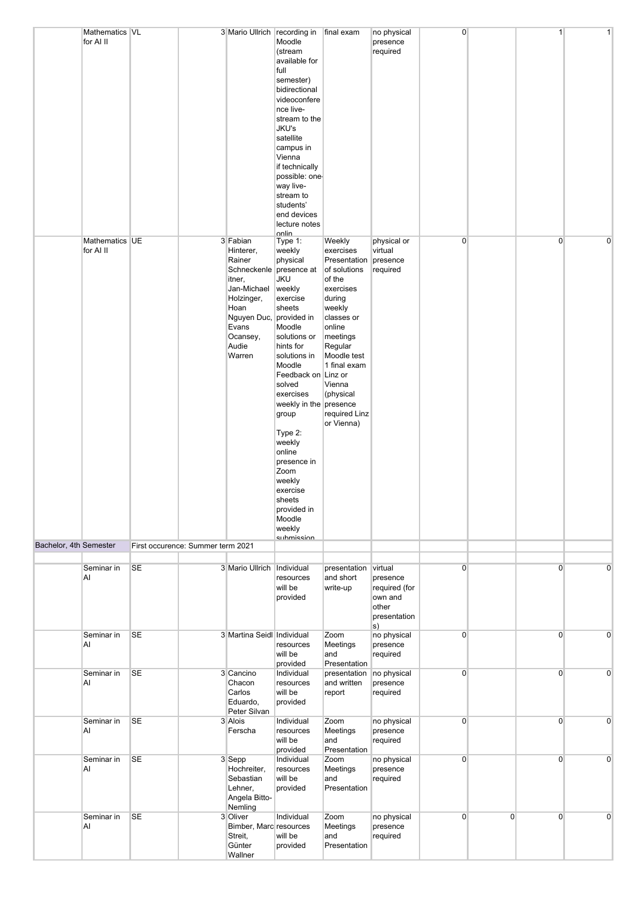|                        | Mathematics VL<br>for Al II |           |                                   | 3 Mario Ullrich recording in                                                                                                                                                 | Moodle<br>(stream<br>available for<br>full<br>semester)<br>bidirectional<br>videoconfere<br>nce live-<br>stream to the<br>JKU's<br>satellite<br>campus in<br>Vienna<br>if technically<br>possible: one<br>way live-<br>stream to<br>students'<br>end devices<br>lecture notes                                                                                                 | final exam                                                                                                                                                                                                                         | no physical<br>presence<br>required                                            | $\overline{0}$ |                | $\mathbf{1}$   | $\mathbf{1}$   |
|------------------------|-----------------------------|-----------|-----------------------------------|------------------------------------------------------------------------------------------------------------------------------------------------------------------------------|-------------------------------------------------------------------------------------------------------------------------------------------------------------------------------------------------------------------------------------------------------------------------------------------------------------------------------------------------------------------------------|------------------------------------------------------------------------------------------------------------------------------------------------------------------------------------------------------------------------------------|--------------------------------------------------------------------------------|----------------|----------------|----------------|----------------|
|                        | Mathematics UE<br>for Al II |           |                                   | 3 Fabian<br>Hinterer,<br>Rainer<br>Schneckenle presence at<br>itner,<br>Jan-Michael<br>Holzinger,<br>Hoan<br>Nguyen Duc, provided in<br>Evans<br>Ocansey,<br>Audie<br>Warren | onlin<br>Type 1:<br>weekly<br>physical<br><b>JKU</b><br>weekly<br>exercise<br>sheets<br>Moodle<br>solutions or<br>hints for<br>solutions in<br>Moodle<br>Feedback on Linz or<br>solved<br>exercises<br>weekly in the presence<br>group<br>Type 2:<br>weekly<br>online<br>presence in<br>Zoom<br>weekly<br>exercise<br>sheets<br>provided in<br>Moodle<br>weekly<br>submission | Weekly<br>exercises<br>Presentation<br>of solutions<br>of the<br>exercises<br>during<br>weekly<br>classes or<br>online<br>meetings<br>Regular<br>Moodle test<br>1 final exam<br>Vienna<br>(physical<br>required Linz<br>or Vienna) | physical or<br>virtual<br>presence<br>required                                 | $\overline{0}$ |                | $\overline{0}$ | $\mathbf 0$    |
| Bachelor, 4th Semester |                             |           | First occurence: Summer term 2021 |                                                                                                                                                                              |                                                                                                                                                                                                                                                                                                                                                                               |                                                                                                                                                                                                                                    |                                                                                |                |                |                |                |
|                        | Seminar in<br>AI            | <b>SE</b> |                                   | 3 Mario Ullrich Individual                                                                                                                                                   | resources<br>will be<br>provided                                                                                                                                                                                                                                                                                                                                              | presentation<br>and short<br>write-up                                                                                                                                                                                              | virtual<br>presence<br>required (for<br>own and<br>other<br>presentation<br>s) | $\overline{0}$ |                | $\overline{0}$ | $\Omega$       |
|                        | Seminar in<br>AI            | <b>SE</b> |                                   | 3 Martina Seidl Individual                                                                                                                                                   | resources<br>will be<br>provided                                                                                                                                                                                                                                                                                                                                              | Zoom<br>Meetings<br>and<br>Presentation                                                                                                                                                                                            | no physical<br>presence<br>required                                            | $\overline{0}$ |                | $\overline{0}$ | 0              |
|                        | Seminar in<br>AI            | <b>SE</b> |                                   | 3 Cancino<br>Chacon<br>Carlos<br>Eduardo,<br>Peter Silvan                                                                                                                    | Individual<br>resources<br>will be<br>provided                                                                                                                                                                                                                                                                                                                                | presentation<br>and written<br>report                                                                                                                                                                                              | no physical<br>presence<br>required                                            | $\overline{0}$ |                | $\overline{0}$ | $\mathbf 0$    |
|                        | Seminar in<br>Al            | <b>SE</b> |                                   | 3 Alois<br>Ferscha                                                                                                                                                           | Individual<br>resources<br>will be<br>provided                                                                                                                                                                                                                                                                                                                                | Zoom<br>Meetings<br>and<br>Presentation                                                                                                                                                                                            | no physical<br>presence<br>required                                            | $\overline{0}$ |                | $\overline{0}$ | $\mathbf 0$    |
|                        | Seminar in<br>Al            | <b>SE</b> |                                   | 3 Sepp<br>Hochreiter,<br>Sebastian<br>Lehner,<br>Angela Bitto-<br>Nemling                                                                                                    | Individual<br>resources<br>will be<br>provided                                                                                                                                                                                                                                                                                                                                | Zoom<br>Meetings<br>and<br>Presentation                                                                                                                                                                                            | no physical<br>presence<br>required                                            | $\overline{0}$ |                | $\overline{0}$ | $\overline{0}$ |
|                        | Seminar in<br>Al            | <b>SE</b> |                                   | 3 Oliver<br>Bimber, Marc resources<br>Streit,<br>Günter<br>Wallner                                                                                                           | Individual<br>will be<br>provided                                                                                                                                                                                                                                                                                                                                             | Zoom<br>Meetings<br>and<br>Presentation                                                                                                                                                                                            | no physical<br>presence<br>required                                            | $\overline{0}$ | $\overline{0}$ | $\overline{0}$ | $\overline{0}$ |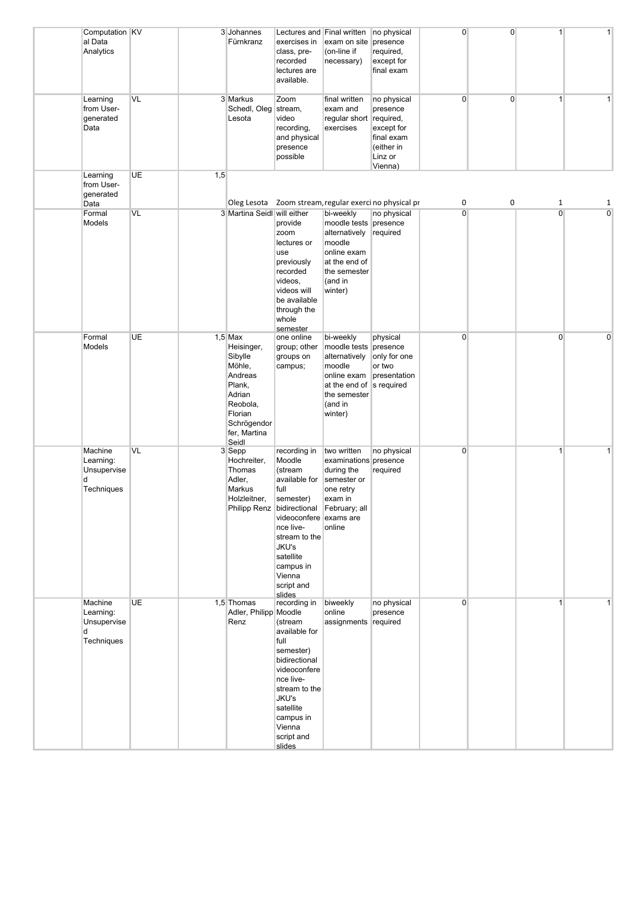| Computation KV<br>al Data<br>Analytics                 |           |     | 3 Johannes<br>Fürnkranz                                                                                                                    | Lectures and Final written<br>exercises in<br>class, pre-<br>recorded<br>lectures are<br>available.                                                                                                                                    | exam on site<br>(on-line if<br>necessary)                                                                                             | no physical<br>presence<br>required,<br>except for<br>final exam                                     | $\overline{0}$ | $\overline{0}$ | $\mathbf{1}$   | 1              |
|--------------------------------------------------------|-----------|-----|--------------------------------------------------------------------------------------------------------------------------------------------|----------------------------------------------------------------------------------------------------------------------------------------------------------------------------------------------------------------------------------------|---------------------------------------------------------------------------------------------------------------------------------------|------------------------------------------------------------------------------------------------------|----------------|----------------|----------------|----------------|
| Learning<br>from User-<br>generated<br>Data            | VL        |     | 3 Markus<br>Schedl, Oleg stream,<br>Lesota                                                                                                 | Zoom<br>video<br>recording,<br>and physical<br>presence<br>possible                                                                                                                                                                    | final written<br>exam and<br>regular short<br>exercises                                                                               | no physical<br>presence<br>required,<br>except for<br>final exam<br>(either in<br>Linz or<br>Vienna) | $\overline{0}$ | $\overline{0}$ | $\mathbf{1}$   | 1              |
| Learning<br>from User-<br>generated<br>Data            | UE        | 1,5 |                                                                                                                                            |                                                                                                                                                                                                                                        |                                                                                                                                       | Oleg Lesota Zoom stream, regular exerci no physical pr                                               | 0              | 0              | 1              | 1              |
| Formal<br>Models                                       | VL        |     | 3 Martina Seidl will either                                                                                                                | provide<br>zoom<br>lectures or<br>use<br>previously<br>recorded<br>videos,<br>videos will<br>be available<br>through the<br>whole<br>semester                                                                                          | bi-weekly<br>moodle tests presence<br>alternatively<br>moodle<br>online exam<br>at the end of<br>the semester<br>(and in<br>winter)   | no physical<br>required                                                                              | $\overline{0}$ |                | $\overline{0}$ | $\overline{0}$ |
| Formal<br>Models                                       | <b>UE</b> |     | $1,5$ Max<br>Heisinger,<br>Sibylle<br>Möhle,<br>Andreas<br>Plank,<br>Adrian<br>Reobola,<br>Florian<br>Schrögendor<br>fer, Martina<br>Seidl | one online<br>group; other<br>groups on<br>campus;                                                                                                                                                                                     | bi-weekly<br>moodle tests<br>alternatively<br>moodle<br>online exam<br>at the end of s required<br>the semester<br>(and in<br>winter) | physical<br>presence<br>only for one<br>or two<br>presentation                                       | $\overline{0}$ |                | $\Omega$       | 0              |
| Machine<br>Learning:<br>Unsupervise<br>d<br>Techniques | VL        |     | 3 Sepp<br>Hochreiter,<br>Thomas<br>Adler,<br><b>Markus</b><br>Holzleitner,                                                                 | recording in<br>Moodle<br>(stream<br>available for<br>full<br>semester)<br>Philipp Renz bidirectional February; all<br>videoconfere exams are<br>nce live-<br>stream to the<br>JKU's<br>satellite<br>campus in<br>Vienna<br>script and | two written<br>examinations presence<br>during the<br>semester or<br>one retry<br>exam in<br>online                                   | no physical<br>required                                                                              | $\overline{0}$ |                | $\mathbf{1}$   | $\mathbf{1}$   |
| Machine<br>Learning:<br>Unsupervise<br>d<br>Techniques | UE        |     | 1,5 Thomas<br>Adler, Philipp Moodle<br>Renz                                                                                                | slides<br>recording in<br>(stream<br>available for<br>full<br>semester)<br>bidirectional<br>videoconfere<br>nce live-<br>stream to the<br>JKU's<br>satellite<br>campus in<br>Vienna<br>script and<br>slides                            | biweekly<br>online<br>assignments                                                                                                     | no physical<br>presence<br>required                                                                  | $\overline{0}$ |                | $\vert$ 1      | 1              |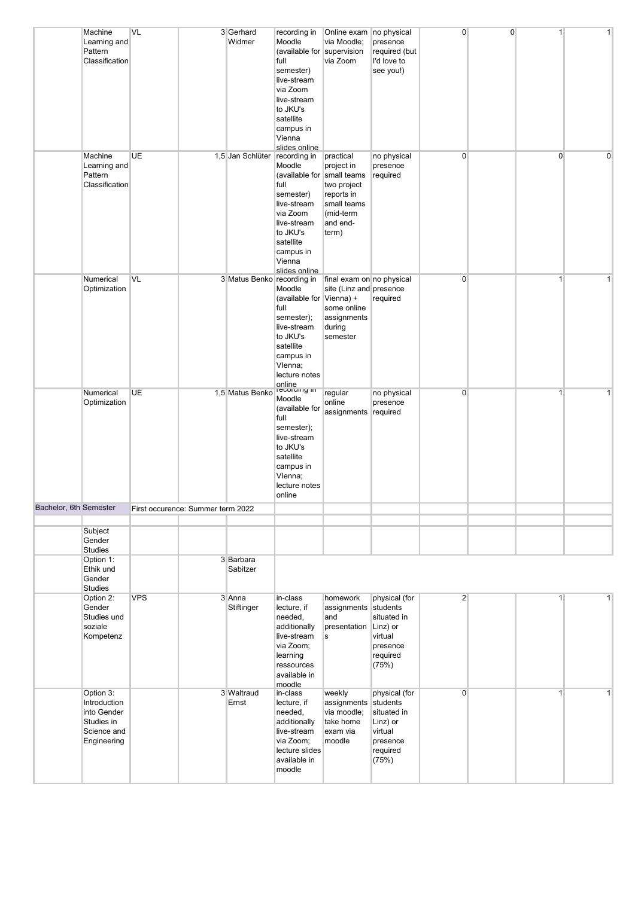|                        | Machine<br>Learning and<br>Pattern<br>Classification<br>Machine                      | VL<br><b>UE</b> |                                   | 3 Gerhard<br>Widmer<br>1,5 Jan Schlüter recording in | recording in<br>Moodle<br>(available for supervision<br>full<br>semester)<br>live-stream<br>via Zoom<br>live-stream<br>to JKU's<br>satellite<br>campus in<br>Vienna<br>slides online | Online exam no physical<br>via Moodle;<br>via Zoom<br>practical                                          | presence<br>required (but<br>I'd love to<br>see you!)<br>no physical                             | $\overline{0}$<br>$\overline{0}$ | $\overline{0}$ | 1<br>$\overline{0}$ | 1<br>0       |
|------------------------|--------------------------------------------------------------------------------------|-----------------|-----------------------------------|------------------------------------------------------|--------------------------------------------------------------------------------------------------------------------------------------------------------------------------------------|----------------------------------------------------------------------------------------------------------|--------------------------------------------------------------------------------------------------|----------------------------------|----------------|---------------------|--------------|
|                        | Learning and<br>Pattern<br>Classification                                            |                 |                                   |                                                      | Moodle<br>(available for small teams<br>full<br>semester)<br>live-stream<br>via Zoom<br>live-stream<br>to JKU's<br>satellite<br>campus in<br>Vienna<br>slides online                 | project in<br>two project<br>reports in<br>small teams<br>(mid-term<br>and end-<br>term)                 | presence<br>required                                                                             |                                  |                |                     |              |
|                        | Numerical<br>Optimization                                                            | VL              |                                   | 3 Matus Benko recording in                           | Moodle<br>(available for Vienna) +<br>full<br>semester);<br>live-stream<br>to JKU's<br>satellite<br>campus in<br>Vlenna;<br>lecture notes<br>online<br>recording in                  | final exam on no physical<br>site (Linz and presence<br>some online<br>assignments<br>during<br>semester | required                                                                                         | $\overline{0}$                   |                | $\mathbf{1}$        | $\mathbf{1}$ |
|                        | Numerical<br>Optimization                                                            | <b>UE</b>       |                                   | 1,5 Matus Benko                                      | Moodle<br>(available for<br>full<br>semester);<br>live-stream<br>to JKU's<br>satellite<br>campus in<br>Vlenna;<br>lecture notes<br>online                                            | regular<br>online<br>assignments                                                                         | no physical<br>presence<br>required                                                              | $\overline{0}$                   |                | $\mathbf{1}$        | 1            |
| Bachelor, 6th Semester |                                                                                      |                 | First occurence: Summer term 2022 |                                                      |                                                                                                                                                                                      |                                                                                                          |                                                                                                  |                                  |                |                     |              |
|                        | Subject<br>Gender<br><b>Studies</b>                                                  |                 |                                   |                                                      |                                                                                                                                                                                      |                                                                                                          |                                                                                                  |                                  |                |                     |              |
|                        | Option 1:<br>Ethik und<br>Gender<br><b>Studies</b>                                   |                 |                                   | 3 Barbara<br>Sabitzer                                |                                                                                                                                                                                      |                                                                                                          |                                                                                                  |                                  |                |                     |              |
|                        | Option 2:<br>Gender<br>Studies und<br>soziale<br>Kompetenz                           | <b>VPS</b>      |                                   | 3 Anna<br>Stiftinger                                 | in-class<br>lecture, if<br>needed,<br>additionally<br>live-stream<br>via Zoom;<br>learning<br>ressources<br>available in<br>moodle                                                   | homework<br>assignments<br>and<br>presentation<br>s                                                      | physical (for<br>students<br>situated in<br>Linz) or<br>virtual<br>presence<br>required<br>(75%) | $\overline{2}$                   |                | 1                   | $\mathbf{1}$ |
|                        | Option 3:<br>Introduction<br>into Gender<br>Studies in<br>Science and<br>Engineering |                 |                                   | 3 Waltraud<br>Ernst                                  | in-class<br>lecture, if<br>needed,<br>additionally<br>live-stream<br>via Zoom;<br>lecture slides<br>available in<br>moodle                                                           | weekly<br>assignments<br>via moodle;<br>take home<br>exam via<br>moodle                                  | physical (for<br>students<br>situated in<br>Linz) or<br>virtual<br>presence<br>required<br>(75%) | $\overline{0}$                   |                | 1                   | $\mathbf{1}$ |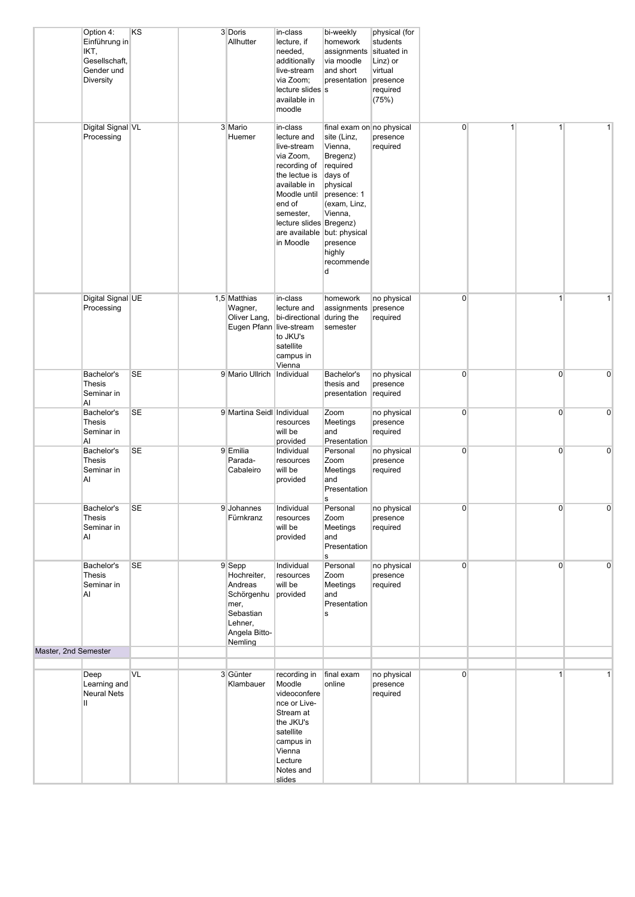|                      | Option 4:<br>Einführung in<br>IKT,<br>Gesellschaft,<br>Gender und<br>Diversity | KS        | 3 Doris<br>Allhutter                                                                                       | in-class<br>lecture, if<br>needed,<br>additionally<br>live-stream<br>via Zoom;<br>lecture slides s<br>available in<br>moodle                                                                                       | bi-weekly<br>homework<br>assignments<br>via moodle<br>and short<br>presentation                                                                                                       | physical (for<br>students<br>situated in<br>Linz) or<br>virtual<br>presence<br>required<br>(75%) |                |              |                |              |
|----------------------|--------------------------------------------------------------------------------|-----------|------------------------------------------------------------------------------------------------------------|--------------------------------------------------------------------------------------------------------------------------------------------------------------------------------------------------------------------|---------------------------------------------------------------------------------------------------------------------------------------------------------------------------------------|--------------------------------------------------------------------------------------------------|----------------|--------------|----------------|--------------|
|                      | Digital Signal VL<br>Processing                                                |           | 3 Mario<br>Huemer                                                                                          | in-class<br>lecture and<br>live-stream<br>via Zoom,<br>recording of<br>the lectue is<br>available in<br>Moodle until<br>end of<br>semester,<br>lecture slides Bregenz)<br>are available but: physical<br>in Moodle | final exam on no physical<br>site (Linz,<br>Vienna,<br>Bregenz)<br>required<br>days of<br>physical<br>presence: 1<br>(exam, Linz,<br>Vienna,<br>presence<br>highly<br>recommende<br>d | presence<br>required                                                                             | $\overline{0}$ | $\mathbf{1}$ | 1              | $\mathbf{1}$ |
|                      | Digital Signal UE<br>Processing                                                |           | 1,5 Matthias<br>Wagner,<br>Oliver Lang,<br>Eugen Pfann live-stream                                         | in-class<br>lecture and<br>bi-directional<br>to JKU's<br>satellite<br>campus in<br>Vienna                                                                                                                          | homework<br>assignments<br>during the<br>semester                                                                                                                                     | no physical<br>presence<br>required                                                              | $\overline{0}$ |              | $\mathbf{1}$   | 1            |
|                      | Bachelor's<br><b>Thesis</b><br>Seminar in<br>Al                                | <b>SE</b> | 9 Mario Ullrich   Individual                                                                               |                                                                                                                                                                                                                    | Bachelor's<br>thesis and<br>presentation required                                                                                                                                     | no physical<br>presence                                                                          | $\overline{0}$ |              | $\overline{0}$ | 0            |
|                      | Bachelor's<br>Thesis<br>Seminar in<br>AI                                       | <b>SE</b> | 9 Martina Seidl Individual                                                                                 | resources<br>will be<br>provided                                                                                                                                                                                   | Zoom<br>Meetings<br>and<br>Presentation                                                                                                                                               | no physical<br>presence<br>required                                                              | $\overline{0}$ |              | $\overline{0}$ | 0            |
|                      | Bachelor's<br>Thesis<br>Seminar in<br>Al                                       | <b>SE</b> | 9 Emilia<br>Parada-<br>Cabaleiro                                                                           | Individual<br>resources<br>will be<br>provided                                                                                                                                                                     | Personal<br>Zoom<br>Meetings<br>and<br>Presentation<br>s                                                                                                                              | no physical<br>presence<br>required                                                              | $\overline{0}$ |              | $\overline{0}$ | $\mathbf 0$  |
|                      | Bachelor's<br>Thesis<br>Seminar in<br>AI                                       | <b>SE</b> | 9 Johannes<br>Fürnkranz                                                                                    | Individual<br>resources<br>will be<br>provided                                                                                                                                                                     | Personal<br>Zoom<br>Meetings<br>and<br>Presentation<br>s                                                                                                                              | no physical<br>presence<br>required                                                              | $\overline{0}$ |              | $\overline{0}$ |              |
|                      | Bachelor's<br><b>Thesis</b><br>Seminar in<br>Al                                | SE        | 9 Sepp<br>Hochreiter,<br>Andreas<br>Schörgenhu<br>mer,<br>Sebastian<br>Lehner,<br>Angela Bitto-<br>Nemling | Individual<br>resources<br>will be<br>provided                                                                                                                                                                     | Personal<br>Zoom<br>Meetings<br>and<br>Presentation<br>s                                                                                                                              | no physical<br>presence<br>required                                                              | $\overline{0}$ |              | $\overline{0}$ | $\mathbf 0$  |
| Master, 2nd Semester |                                                                                |           |                                                                                                            |                                                                                                                                                                                                                    |                                                                                                                                                                                       |                                                                                                  |                |              |                |              |
|                      | Deep<br>Learning and<br>Neural Nets<br>Ш.                                      | VL        | 3 Günter<br>Klambauer                                                                                      | recording in<br>Moodle<br>videoconfere<br>nce or Live-<br>Stream at<br>the JKU's<br>satellite<br>campus in<br>Vienna<br>Lecture<br>Notes and<br>slides                                                             | final exam<br>online                                                                                                                                                                  | no physical<br>presence<br>required                                                              | $\overline{0}$ |              | $\mathbf{1}$   | $\mathbf{1}$ |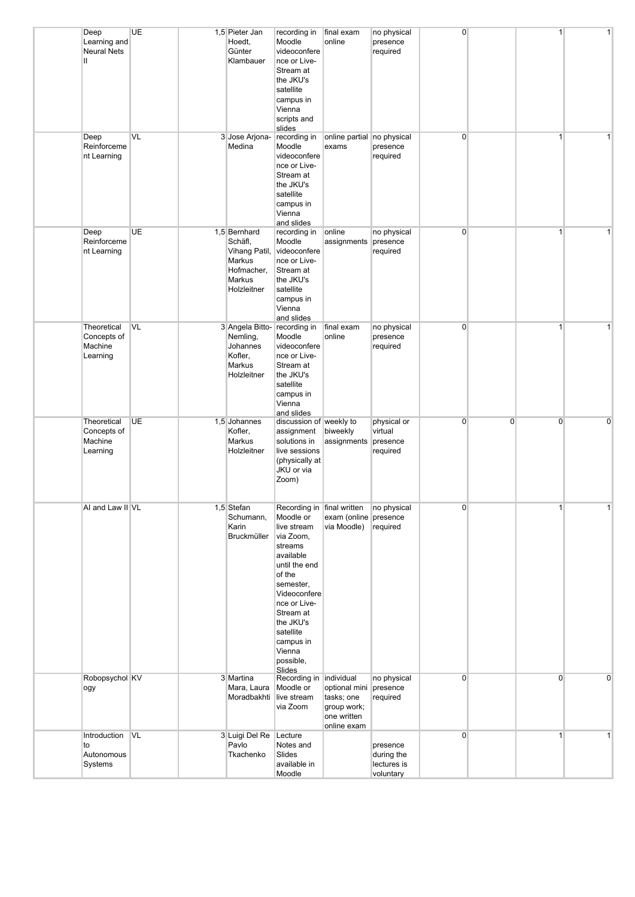| Deep<br>Learning and<br><b>Neural Nets</b><br>Ш.  | UE        | 1,5 Pieter Jan<br>Hoedt,<br>Günter                         | Moodle<br>Klambauer<br>the JKU's<br>satellite<br>Vienna<br>slides                                                     | recording in<br>videoconfere<br>nce or Live-<br>Stream at<br>campus in<br>scripts and                                         | final exam<br>online                                                     | no physical<br>presence<br>required                | $\overline{0}$ |                | $\mathbf{1}$   | 1              |
|---------------------------------------------------|-----------|------------------------------------------------------------|-----------------------------------------------------------------------------------------------------------------------|-------------------------------------------------------------------------------------------------------------------------------|--------------------------------------------------------------------------|----------------------------------------------------|----------------|----------------|----------------|----------------|
| Deep<br>Reinforceme<br>nt Learning                | VL        | 3 Jose Arjona-<br>Medina                                   | Moodle<br>the JKU's<br>satellite<br>Vienna                                                                            | recording in<br>videoconfere<br>nce or Live-<br>Stream at<br>campus in<br>and slides                                          | online partial no physical<br>exams                                      | presence<br>required                               | $\overline{0}$ |                | $\mathbf{1}$   | 1 <sup>1</sup> |
| Deep<br>Reinforceme<br>nt Learning                | <b>UE</b> | 1,5 Bernhard<br>Schäfl.<br>Markus<br>Markus<br>Holzleitner | Moodle<br>Vihang Patil,<br>Hofmacher,<br>the JKU's<br>satellite<br>Vienna                                             | recording in<br>videoconfere<br>nce or Live-<br>Stream at<br>campus in<br>and slides                                          | online<br>assignments                                                    | no physical<br>presence<br>required                | $\overline{0}$ |                | $\mathbf{1}$   | $\mathbf{1}$   |
| Theoretical<br>Concepts of<br>Machine<br>Learning | <b>VL</b> | Nemling,<br>Johannes<br>Kofler,<br>Markus                  | 3 Angela Bitto-<br>Moodle<br>the JKU's<br>Holzleitner<br>satellite<br>Vienna                                          | recording in<br>videoconfere<br>nce or Live-<br>Stream at<br>campus in<br>and slides                                          | final exam<br>online                                                     | no physical<br>presence<br>required                | $\overline{0}$ |                | $\mathbf{1}$   | 1              |
| Theoretical<br>Concepts of<br>Machine<br>Learning | <b>UE</b> | 1,5 Johannes<br>Kofler,<br>Markus<br>Holzleitner           | Zoom)                                                                                                                 | discussion of weekly to<br>assignment<br>solutions in<br>live sessions<br>(physically at<br>JKU or via                        | biweekly<br>assignments                                                  | physical or<br>virtual<br>presence<br>required     | $\overline{0}$ | $\overline{0}$ | $\overline{0}$ | $\mathbf 0$    |
| AI and Law II VL                                  |           | 1,5 Stefan<br>Karin                                        | Schumann,<br>Bruckmüller<br>streams<br>available<br>of the<br>the JKU's<br>satellite<br>Vienna<br>possible,<br>Slides | Moodle or<br>live stream<br>via Zoom,<br>until the end<br>semester,<br>Videoconfere<br>nce or Live-<br>Stream at<br>campus in | Recording in final written<br>exam (online presence<br>via Moodle)       | no physical<br>required                            | 0              |                |                |                |
| Robopsychol KV<br>ogy                             |           | 3 Martina                                                  | Mara, Laura<br>Moradbakhti live stream<br>via Zoom                                                                    | Recording in   individual<br>Moodle or                                                                                        | optional mini<br>tasks; one<br>group work;<br>one written<br>online exam | no physical<br>presence<br>required                | $\overline{0}$ |                | $\overline{0}$ | $\mathbf 0$    |
| Introduction VL<br>to<br>Autonomous<br>Systems    |           | Pavlo                                                      | 3 Luigi Del Re Lecture<br>Slides<br>Tkachenko<br>Moodle                                                               | Notes and<br>available in                                                                                                     |                                                                          | presence<br>during the<br>lectures is<br>voluntary | $\overline{0}$ |                | $\mathbf{1}$   | 1              |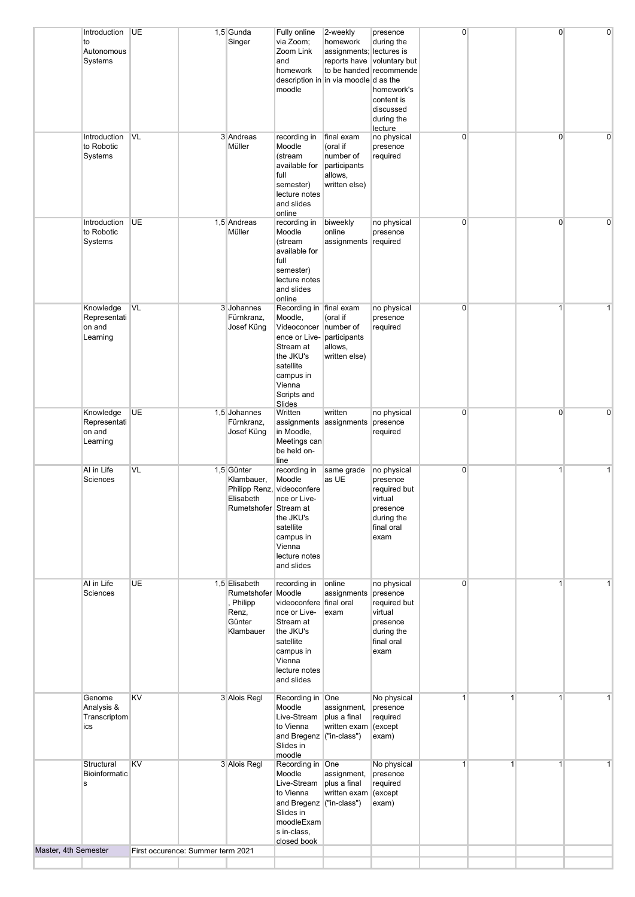|                      | Introduction<br>to<br>Autonomous<br>Systems     | <b>UE</b>                         | 1,5 Gunda<br>Singer                                                                          | Fully online<br>via Zoom;<br>Zoom Link<br>and<br>homework<br>moodle                                                                                       | 2-weekly<br>homework<br>assignments; lectures is<br>reports have voluntary but<br>to be handed recommende<br>description in in via moodle d as the | presence<br>during the<br>homework's<br>content is<br>discussed<br>during the<br>lecture           | 0              |   | $\overline{0}$ | $\mathbf 0$    |
|----------------------|-------------------------------------------------|-----------------------------------|----------------------------------------------------------------------------------------------|-----------------------------------------------------------------------------------------------------------------------------------------------------------|----------------------------------------------------------------------------------------------------------------------------------------------------|----------------------------------------------------------------------------------------------------|----------------|---|----------------|----------------|
|                      | Introduction<br>to Robotic<br>Systems           | VL                                | 3 Andreas<br>Müller                                                                          | recording in<br>Moodle<br>(stream<br>available for<br>full<br>semester)<br>lecture notes<br>and slides<br>online                                          | final exam<br>(oral if<br>number of<br>participants<br>allows,<br>written else)                                                                    | no physical<br>presence<br>required                                                                | $\overline{0}$ |   | $\overline{0}$ | $\Omega$       |
|                      | Introduction<br>to Robotic<br>Systems           | <b>UE</b>                         | 1,5 Andreas<br>Müller                                                                        | recording in<br>Moodle<br>(stream<br>available for<br>full<br>semester)<br>lecture notes<br>and slides<br>online                                          | biweekly<br>online<br>assignments required                                                                                                         | no physical<br>presence                                                                            | $\overline{0}$ |   | $\overline{0}$ | $\overline{0}$ |
|                      | Knowledge<br>Representati<br>on and<br>Learning | VL                                | 3 Johannes<br>Fürnkranz.<br>Josef Küng                                                       | Recording in final exam<br>Moodle,<br>Videoconcer<br>ence or Live-<br>Stream at<br>the JKU's<br>satellite<br>campus in<br>Vienna<br>Scripts and<br>Slides | (oral if<br>number of<br>participants<br>allows,<br>written else)                                                                                  | no physical<br>presence<br>required                                                                | 0              |   | 1              | 1              |
|                      | Knowledge<br>Representati<br>on and<br>Learning | <b>UE</b>                         | 1,5 Johannes<br>Fürnkranz,<br>Josef Küng                                                     | Written<br>assignments assignments<br>in Moodle,<br>Meetings can<br>be held on-<br>line                                                                   | written                                                                                                                                            | no physical<br>presence<br>required                                                                | $\overline{0}$ |   | $\overline{0}$ | $\mathbf 0$    |
|                      | Al in Life<br>Sciences                          | VL                                | 1,5 Günter<br>Klambauer,<br>Philipp Renz, videoconfere<br>Elisabeth<br>Rumetshofer Stream at | recording in<br>Moodle<br>nce or Live-<br>the JKU's<br>satellite<br>campus in<br>Vienna<br>lecture notes<br>and slides                                    | same grade<br>as UE                                                                                                                                | no physical<br>presence<br>required but<br>virtual<br>presence<br>during the<br>final oral<br>exam | $\overline{0}$ |   | $\mathbf{1}$   | $\mathbf{1}$   |
|                      | Al in Life<br>Sciences                          | UE                                | 1,5 Elisabeth<br>Rumetshofer Moodle<br>, Philipp<br>Renz,<br>Günter<br>Klambauer             | recording in<br>videoconfere final oral<br>nce or Live-<br>Stream at<br>the JKU's<br>satellite<br>campus in<br>Vienna<br>lecture notes<br>and slides      | online<br>assignments<br>exam                                                                                                                      | no physical<br>presence<br>required but<br>virtual<br>presence<br>during the<br>final oral<br>exam | $\overline{0}$ |   | $\mathbf{1}$   | 1              |
|                      | Genome<br>Analysis &<br>Transcriptom<br>ics     | KV                                | 3 Alois Regl                                                                                 | Recording in One<br>Moodle<br>Live-Stream<br>to Vienna<br>and Bregenz ("in-class")<br>Slides in<br>moodle                                                 | assignment,<br>plus a final<br>written exam                                                                                                        | No physical<br>presence<br>required<br>(except<br>exam)                                            | $\mathbf{1}$   | 1 | $\mathbf{1}$   | 1              |
|                      | Structural<br>Bioinformatic<br>s                | <b>KV</b>                         | 3 Alois Regl                                                                                 | Recording in One<br>Moodle<br>Live-Stream<br>to Vienna<br>and Bregenz ("in-class")<br>Slides in<br>moodleExam<br>s in-class,<br>closed book               | assignment,<br>plus a final<br>written exam                                                                                                        | No physical<br>presence<br>required<br>(except<br>exam)                                            | $\mathbf{1}$   | 1 | $\mathbf{1}$   | $\mathbf{1}$   |
| Master, 4th Semester |                                                 | First occurence: Summer term 2021 |                                                                                              |                                                                                                                                                           |                                                                                                                                                    |                                                                                                    |                |   |                |                |
|                      |                                                 |                                   |                                                                                              |                                                                                                                                                           |                                                                                                                                                    |                                                                                                    |                |   |                |                |